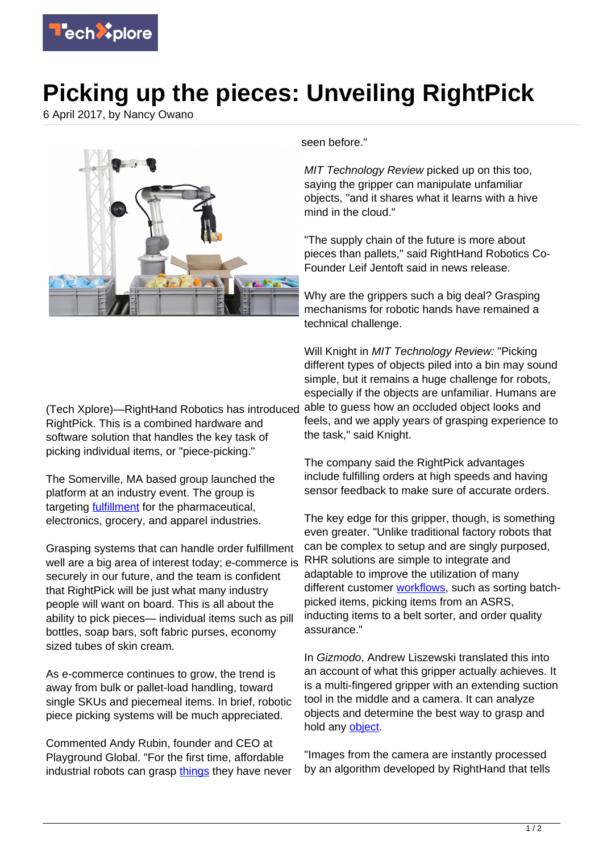

## **Picking up the pieces: Unveiling RightPick**

6 April 2017, by Nancy Owano



(Tech Xplore)—RightHand Robotics has introduced RightPick. This is a combined hardware and software solution that handles the key task of picking individual items, or "piece-picking."

The Somerville, MA based group launched the platform at an industry event. The group is targeting [fulfillment](https://www.technologyreview.com/s/604038/a-robot-with-its-head-in-the-cloud-tackles-warehouse-picking/) for the pharmaceutical, electronics, grocery, and apparel industries.

Grasping systems that can handle order fulfillment well are a big area of interest today; e-commerce is securely in our future, and the team is confident that RightPick will be just what many industry people will want on board. This is all about the ability to pick pieces— individual items such as pill bottles, soap bars, soft fabric purses, economy sized tubes of skin cream.

As e-commerce continues to grow, the trend is away from bulk or pallet-load handling, toward single SKUs and piecemeal items. In brief, robotic piece picking systems will be much appreciated.

Commented Andy Rubin, founder and CEO at Playground Global. "For the first time, affordable industrial robots can grasp [things](https://docs.google.com/document/d/1P_0sWQVoh0ch03w9mJaXB48iF3Y9ddf2bsHYpVyR7Tw/edit) they have never seen before."

MIT Technology Review picked up on this too, saying the gripper can manipulate unfamiliar objects, "and it shares what it learns with a hive mind in the cloud."

"The supply chain of the future is more about pieces than pallets," said RightHand Robotics Co-Founder Leif Jentoft said in news release.

Why are the grippers such a big deal? Grasping mechanisms for robotic hands have remained a technical challenge.

Will Knight in *MIT Technology Review:* "Picking" different types of objects piled into a bin may sound simple, but it remains a huge challenge for robots, especially if the objects are unfamiliar. Humans are able to guess how an occluded object looks and feels, and we apply years of grasping experience to the task," said Knight.

The company said the RightPick advantages include fulfilling orders at high speeds and having sensor feedback to make sure of accurate orders.

The key edge for this gripper, though, is something even greater. "Unlike traditional factory robots that can be complex to setup and are singly purposed, RHR solutions are simple to integrate and adaptable to improve the utilization of many different customer [workflows,](https://www.righthandrobotics.com/) such as sorting batchpicked items, picking items from an ASRS, inducting items to a belt sorter, and order quality assurance."

In Gizmodo, Andrew Liszewski translated this into an account of what this gripper actually achieves. It is a multi-fingered gripper with an extending suction tool in the middle and a camera. It can analyze objects and determine the best way to grasp and hold any [object](http://gizmodo.com/these-self-learning-robot-arms-teach-each-other-how-to-1794029246).

"Images from the camera are instantly processed by an algorithm developed by RightHand that tells